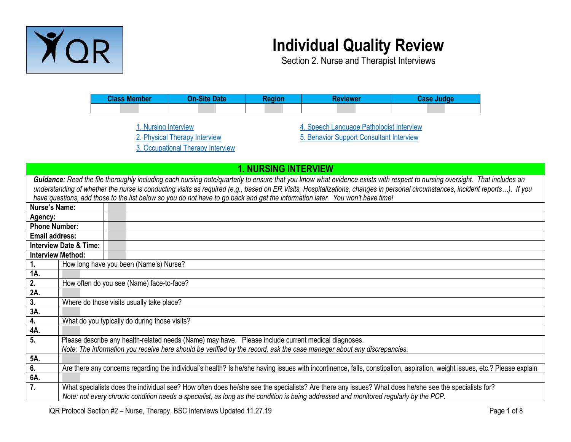

## **Individual Quality Review**

Section 2. Nurse and Therapist Interviews

| <b>Class Member</b> | deaion | <b>Reviewer</b> |  |  |
|---------------------|--------|-----------------|--|--|
|                     |        |                 |  |  |

[1. Nursing Interview](#page-0-0) [2. Physical Therapy Interview](#page-1-0) [3. Occupational Therapy Interview](#page-3-0) [4. Speech Language Pathologist Interview](#page-4-0) [5. Behavior Support Consultant Interview](#page-6-0)

<span id="page-0-0"></span>

|                       |                                                                                                                                                                                                                                                                                                                                                                                                                                                                                             | <b>1. NURSING INTERVIEW</b>                                                                                                                                                                                                                                                                   |  |
|-----------------------|---------------------------------------------------------------------------------------------------------------------------------------------------------------------------------------------------------------------------------------------------------------------------------------------------------------------------------------------------------------------------------------------------------------------------------------------------------------------------------------------|-----------------------------------------------------------------------------------------------------------------------------------------------------------------------------------------------------------------------------------------------------------------------------------------------|--|
|                       | Guidance: Read the file thoroughly including each nursing note/quarterly to ensure that you know what evidence exists with respect to nursing oversight. That includes an<br>understanding of whether the nurse is conducting visits as required (e.g., based on ER Visits, Hospitalizations, changes in personal circumstances, incident reports). If you<br>have questions, add those to the list below so you do not have to go back and get the information later. You won't have time! |                                                                                                                                                                                                                                                                                               |  |
| <b>Nurse's Name:</b>  |                                                                                                                                                                                                                                                                                                                                                                                                                                                                                             |                                                                                                                                                                                                                                                                                               |  |
| Agency:               |                                                                                                                                                                                                                                                                                                                                                                                                                                                                                             |                                                                                                                                                                                                                                                                                               |  |
| <b>Phone Number:</b>  |                                                                                                                                                                                                                                                                                                                                                                                                                                                                                             |                                                                                                                                                                                                                                                                                               |  |
| <b>Email address:</b> |                                                                                                                                                                                                                                                                                                                                                                                                                                                                                             |                                                                                                                                                                                                                                                                                               |  |
|                       | <b>Interview Date &amp; Time:</b>                                                                                                                                                                                                                                                                                                                                                                                                                                                           |                                                                                                                                                                                                                                                                                               |  |
|                       | <b>Interview Method:</b>                                                                                                                                                                                                                                                                                                                                                                                                                                                                    |                                                                                                                                                                                                                                                                                               |  |
| 1.                    |                                                                                                                                                                                                                                                                                                                                                                                                                                                                                             | How long have you been (Name's) Nurse?                                                                                                                                                                                                                                                        |  |
| 1A.                   |                                                                                                                                                                                                                                                                                                                                                                                                                                                                                             |                                                                                                                                                                                                                                                                                               |  |
| 2.                    |                                                                                                                                                                                                                                                                                                                                                                                                                                                                                             | How often do you see (Name) face-to-face?                                                                                                                                                                                                                                                     |  |
| 2A.                   |                                                                                                                                                                                                                                                                                                                                                                                                                                                                                             |                                                                                                                                                                                                                                                                                               |  |
| 3.                    |                                                                                                                                                                                                                                                                                                                                                                                                                                                                                             | Where do those visits usually take place?                                                                                                                                                                                                                                                     |  |
| 3A.                   |                                                                                                                                                                                                                                                                                                                                                                                                                                                                                             |                                                                                                                                                                                                                                                                                               |  |
| 4.                    |                                                                                                                                                                                                                                                                                                                                                                                                                                                                                             | What do you typically do during those visits?                                                                                                                                                                                                                                                 |  |
| 4A.                   |                                                                                                                                                                                                                                                                                                                                                                                                                                                                                             |                                                                                                                                                                                                                                                                                               |  |
| 5.                    |                                                                                                                                                                                                                                                                                                                                                                                                                                                                                             | Please describe any health-related needs (Name) may have. Please include current medical diagnoses.                                                                                                                                                                                           |  |
|                       |                                                                                                                                                                                                                                                                                                                                                                                                                                                                                             | Note: The information you receive here should be verified by the record, ask the case manager about any discrepancies.                                                                                                                                                                        |  |
| 5A.                   |                                                                                                                                                                                                                                                                                                                                                                                                                                                                                             |                                                                                                                                                                                                                                                                                               |  |
| 6.                    |                                                                                                                                                                                                                                                                                                                                                                                                                                                                                             | Are there any concerns regarding the individual's health? Is he/she having issues with incontinence, falls, constipation, aspiration, weight issues, etc.? Please explain                                                                                                                     |  |
| 6A.                   |                                                                                                                                                                                                                                                                                                                                                                                                                                                                                             |                                                                                                                                                                                                                                                                                               |  |
| 7.                    |                                                                                                                                                                                                                                                                                                                                                                                                                                                                                             | What specialists does the individual see? How often does he/she see the specialists? Are there any issues? What does he/she see the specialists for?<br>Note: not every chronic condition needs a specialist, as long as the condition is being addressed and monitored regularly by the PCP. |  |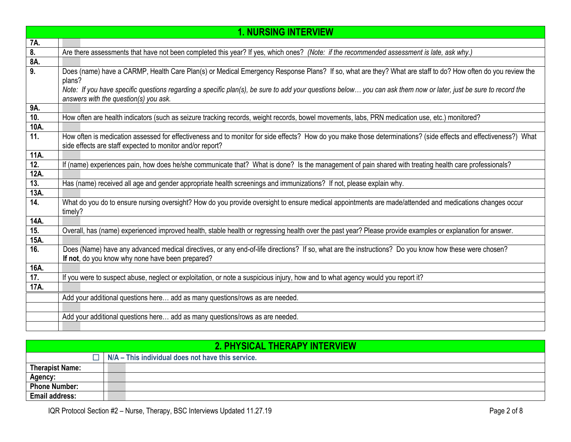|      | <b>1. NURSING INTERVIEW</b>                                                                                                                                      |
|------|------------------------------------------------------------------------------------------------------------------------------------------------------------------|
| 7A.  |                                                                                                                                                                  |
| 8.   | Are there assessments that have not been completed this year? If yes, which ones? (Note: if the recommended assessment is late, ask why.)                        |
| 8A.  |                                                                                                                                                                  |
| 9.   | Does (name) have a CARMP, Health Care Plan(s) or Medical Emergency Response Plans? If so, what are they? What are staff to do? How often do you review the       |
|      | plans?                                                                                                                                                           |
|      | Note: If you have specific questions regarding a specific plan(s), be sure to add your questions below you can ask them now or later, just be sure to record the |
|      | answers with the question(s) you ask.                                                                                                                            |
| 9A.  |                                                                                                                                                                  |
| 10.  | How often are health indicators (such as seizure tracking records, weight records, bowel movements, labs, PRN medication use, etc.) monitored?                   |
| 10A. |                                                                                                                                                                  |
| 11.  | How often is medication assessed for effectiveness and to monitor for side effects? How do you make those determinations? (side effects and effectiveness?) What |
|      | side effects are staff expected to monitor and/or report?                                                                                                        |
| 11A. |                                                                                                                                                                  |
| 12.  | If (name) experiences pain, how does he/she communicate that? What is done? Is the management of pain shared with treating health care professionals?            |
| 12A. |                                                                                                                                                                  |
| 13.  | Has (name) received all age and gender appropriate health screenings and immunizations? If not, please explain why.                                              |
| 13A. |                                                                                                                                                                  |
| 14.  | What do you do to ensure nursing oversight? How do you provide oversight to ensure medical appointments are made/attended and medications changes occur          |
|      | timely?                                                                                                                                                          |
| 14A. |                                                                                                                                                                  |
| 15.  | Overall, has (name) experienced improved health, stable health or regressing health over the past year? Please provide examples or explanation for answer.       |
| 15A. |                                                                                                                                                                  |
| 16.  | Does (Name) have any advanced medical directives, or any end-of-life directions? If so, what are the instructions? Do you know how these were chosen?            |
|      | If not, do you know why none have been prepared?                                                                                                                 |
| 16A. |                                                                                                                                                                  |
| 17.  | If you were to suspect abuse, neglect or exploitation, or note a suspicious injury, how and to what agency would you report it?                                  |
| 17A. |                                                                                                                                                                  |
|      | Add your additional questions here add as many questions/rows as are needed.                                                                                     |
|      |                                                                                                                                                                  |
|      | Add your additional questions here add as many questions/rows as are needed.                                                                                     |
|      |                                                                                                                                                                  |

<span id="page-1-0"></span>

|                        | 2. PHYSICAL THERAPY INTERVIEW                     |  |
|------------------------|---------------------------------------------------|--|
|                        | N/A – This individual does not have this service. |  |
| <b>Therapist Name:</b> |                                                   |  |
| <b>Agency:</b>         |                                                   |  |
| <b>Phone Number:</b>   |                                                   |  |
| <b>Email address:</b>  |                                                   |  |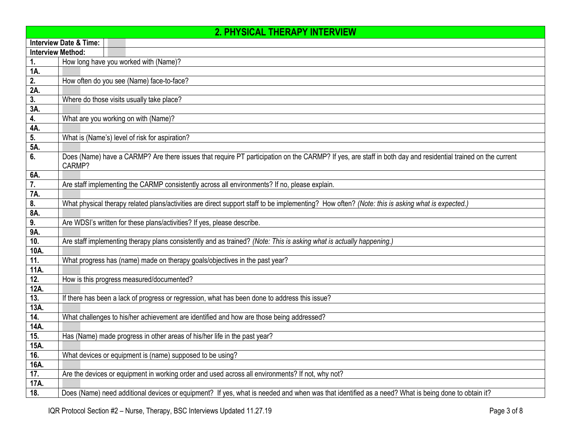| <b>2. PHYSICAL THERAPY INTERVIEW</b> |                                                                                                                                                                       |  |
|--------------------------------------|-----------------------------------------------------------------------------------------------------------------------------------------------------------------------|--|
|                                      | <b>Interview Date &amp; Time:</b>                                                                                                                                     |  |
| <b>Interview Method:</b>             |                                                                                                                                                                       |  |
| 1.                                   | How long have you worked with (Name)?                                                                                                                                 |  |
| 1A.                                  |                                                                                                                                                                       |  |
| 2.                                   | How often do you see (Name) face-to-face?                                                                                                                             |  |
| 2A.                                  |                                                                                                                                                                       |  |
| 3.                                   | Where do those visits usually take place?                                                                                                                             |  |
| 3A.                                  |                                                                                                                                                                       |  |
| 4.                                   | What are you working on with (Name)?                                                                                                                                  |  |
| 4A.                                  |                                                                                                                                                                       |  |
| 5.                                   | What is (Name's) level of risk for aspiration?                                                                                                                        |  |
| 5A.                                  |                                                                                                                                                                       |  |
| 6.                                   | Does (Name) have a CARMP? Are there issues that require PT participation on the CARMP? If yes, are staff in both day and residential trained on the current<br>CARMP? |  |
| 6A.                                  |                                                                                                                                                                       |  |
| 7.                                   | Are staff implementing the CARMP consistently across all environments? If no, please explain.                                                                         |  |
| 7A.                                  |                                                                                                                                                                       |  |
| 8.                                   | What physical therapy related plans/activities are direct support staff to be implementing? How often? (Note: this is asking what is expected.)                       |  |
| 8A.                                  |                                                                                                                                                                       |  |
| 9.                                   | Are WDSI's written for these plans/activities? If yes, please describe.                                                                                               |  |
| 9A.                                  |                                                                                                                                                                       |  |
| 10.                                  | Are staff implementing therapy plans consistently and as trained? (Note: This is asking what is actually happening.)                                                  |  |
| 10A.                                 |                                                                                                                                                                       |  |
| 11.                                  | What progress has (name) made on therapy goals/objectives in the past year?                                                                                           |  |
| 11A.                                 |                                                                                                                                                                       |  |
| $\overline{12}$ .                    | How is this progress measured/documented?                                                                                                                             |  |
| 12A.                                 |                                                                                                                                                                       |  |
| 13.                                  | If there has been a lack of progress or regression, what has been done to address this issue?                                                                         |  |
| 13A.                                 |                                                                                                                                                                       |  |
| 14.                                  | What challenges to his/her achievement are identified and how are those being addressed?                                                                              |  |
| 14A.                                 |                                                                                                                                                                       |  |
| 15.                                  | Has (Name) made progress in other areas of his/her life in the past year?                                                                                             |  |
| 15A.                                 |                                                                                                                                                                       |  |
| 16.                                  | What devices or equipment is (name) supposed to be using?                                                                                                             |  |
| 16A.                                 |                                                                                                                                                                       |  |
| 17.                                  | Are the devices or equipment in working order and used across all environments? If not, why not?                                                                      |  |
| 17A.                                 |                                                                                                                                                                       |  |
| 18.                                  | Does (Name) need additional devices or equipment? If yes, what is needed and when was that identified as a need? What is being done to obtain it?                     |  |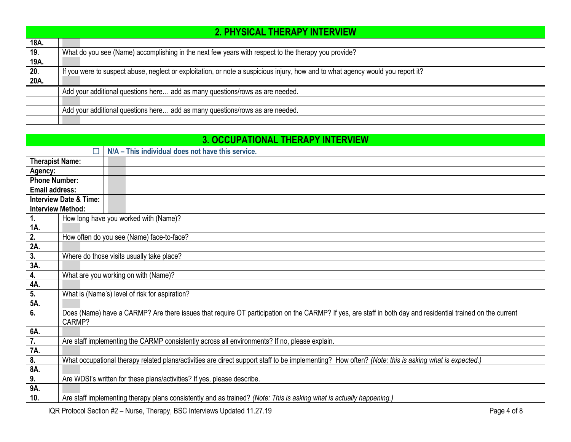|      | 2. PHYSICAL THERAPY INTERVIEW                                                                                                   |
|------|---------------------------------------------------------------------------------------------------------------------------------|
| 18A. |                                                                                                                                 |
| 19.  | What do you see (Name) accomplishing in the next few years with respect to the therapy you provide?                             |
| 19A. |                                                                                                                                 |
| 20.  | If you were to suspect abuse, neglect or exploitation, or note a suspicious injury, how and to what agency would you report it? |
| 20A. |                                                                                                                                 |
|      | Add your additional questions here add as many questions/rows as are needed.                                                    |
|      |                                                                                                                                 |
|      | Add your additional questions here add as many questions/rows as are needed.                                                    |
|      |                                                                                                                                 |

<span id="page-3-0"></span>

|                          |                                   | <b>3. OCCUPATIONAL THERAPY INTERVIEW</b>                                                                                                                    |
|--------------------------|-----------------------------------|-------------------------------------------------------------------------------------------------------------------------------------------------------------|
|                          |                                   | N/A - This individual does not have this service.                                                                                                           |
| <b>Therapist Name:</b>   |                                   |                                                                                                                                                             |
| Agency:                  |                                   |                                                                                                                                                             |
| <b>Phone Number:</b>     |                                   |                                                                                                                                                             |
| <b>Email address:</b>    |                                   |                                                                                                                                                             |
|                          | <b>Interview Date &amp; Time:</b> |                                                                                                                                                             |
| <b>Interview Method:</b> |                                   |                                                                                                                                                             |
| 1.                       |                                   | How long have you worked with (Name)?                                                                                                                       |
| 1A.                      |                                   |                                                                                                                                                             |
| 2.                       |                                   | How often do you see (Name) face-to-face?                                                                                                                   |
| 2A.                      |                                   |                                                                                                                                                             |
| 3.                       |                                   | Where do those visits usually take place?                                                                                                                   |
| 3A.                      |                                   |                                                                                                                                                             |
| 4.                       |                                   | What are you working on with (Name)?                                                                                                                        |
| 4A.                      |                                   |                                                                                                                                                             |
| 5.                       |                                   | What is (Name's) level of risk for aspiration?                                                                                                              |
| 5A.                      |                                   |                                                                                                                                                             |
| 6.                       | CARMP?                            | Does (Name) have a CARMP? Are there issues that require OT participation on the CARMP? If yes, are staff in both day and residential trained on the current |
| 6A.                      |                                   |                                                                                                                                                             |
| $\overline{7}$ .         |                                   | Are staff implementing the CARMP consistently across all environments? If no, please explain.                                                               |
| 7A.                      |                                   |                                                                                                                                                             |
| 8.                       |                                   | What occupational therapy related plans/activities are direct support staff to be implementing? How often? (Note: this is asking what is expected.)         |
| 8A.                      |                                   |                                                                                                                                                             |
| 9.                       |                                   | Are WDSI's written for these plans/activities? If yes, please describe.                                                                                     |
| 9A.                      |                                   |                                                                                                                                                             |
| 10.                      |                                   | Are staff implementing therapy plans consistently and as trained? (Note: This is asking what is actually happening.)                                        |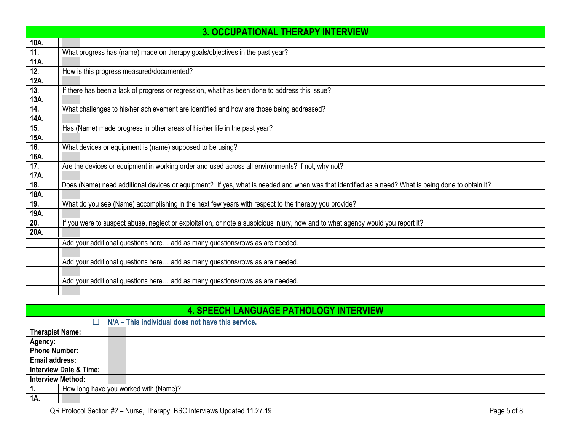|      | <b>3. OCCUPATIONAL THERAPY INTERVIEW</b>                                                                                                          |
|------|---------------------------------------------------------------------------------------------------------------------------------------------------|
| 10A. |                                                                                                                                                   |
| 11.  | What progress has (name) made on therapy goals/objectives in the past year?                                                                       |
| 11A. |                                                                                                                                                   |
| 12.  | How is this progress measured/documented?                                                                                                         |
| 12A. |                                                                                                                                                   |
| 13.  | If there has been a lack of progress or regression, what has been done to address this issue?                                                     |
| 13A. |                                                                                                                                                   |
| 14.  | What challenges to his/her achievement are identified and how are those being addressed?                                                          |
| 14A. |                                                                                                                                                   |
| 15.  | Has (Name) made progress in other areas of his/her life in the past year?                                                                         |
| 15A. |                                                                                                                                                   |
| 16.  | What devices or equipment is (name) supposed to be using?                                                                                         |
| 16A. |                                                                                                                                                   |
| 17.  | Are the devices or equipment in working order and used across all environments? If not, why not?                                                  |
| 17A. |                                                                                                                                                   |
| 18.  | Does (Name) need additional devices or equipment? If yes, what is needed and when was that identified as a need? What is being done to obtain it? |
| 18A. |                                                                                                                                                   |
| 19.  | What do you see (Name) accomplishing in the next few years with respect to the therapy you provide?                                               |
| 19A. |                                                                                                                                                   |
| 20.  | If you were to suspect abuse, neglect or exploitation, or note a suspicious injury, how and to what agency would you report it?                   |
| 20A. |                                                                                                                                                   |
|      | Add your additional questions here add as many questions/rows as are needed.                                                                      |
|      |                                                                                                                                                   |
|      | Add your additional questions here add as many questions/rows as are needed.                                                                      |
|      |                                                                                                                                                   |
|      | Add your additional questions here add as many questions/rows as are needed.                                                                      |
|      |                                                                                                                                                   |

## **4. SPEECH LANGUAGE PATHOLOGY INTERVIEW**

<span id="page-4-0"></span>

| TI VI EEVITE/NNVV/NVE I /NITIVEV V I IINTEINTIEM |                                                   |
|--------------------------------------------------|---------------------------------------------------|
|                                                  | N/A - This individual does not have this service. |
| <b>Therapist Name:</b>                           |                                                   |
| Agency:                                          |                                                   |
| <b>Phone Number:</b>                             |                                                   |
| <b>Email address:</b>                            |                                                   |
| <b>Interview Date &amp; Time:</b>                |                                                   |
| <b>Interview Method:</b>                         |                                                   |
| How long have you worked with (Name)?<br>-1.     |                                                   |
| 1A.                                              |                                                   |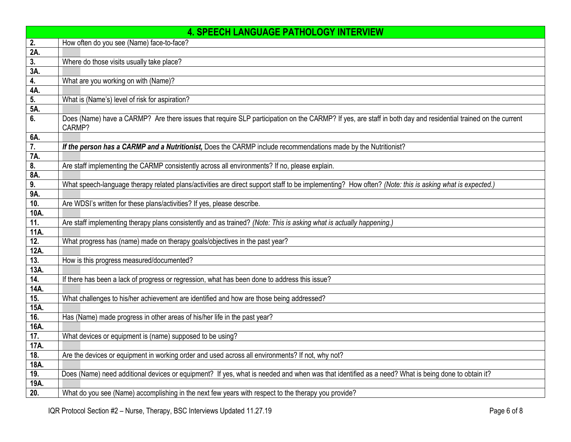|      | <b>4. SPEECH LANGUAGE PATHOLOGY INTERVIEW</b>                                                                                                                          |
|------|------------------------------------------------------------------------------------------------------------------------------------------------------------------------|
| 2.   | How often do you see (Name) face-to-face?                                                                                                                              |
| 2A.  |                                                                                                                                                                        |
| 3.   | Where do those visits usually take place?                                                                                                                              |
| 3A.  |                                                                                                                                                                        |
| 4.   | What are you working on with (Name)?                                                                                                                                   |
| 4A.  |                                                                                                                                                                        |
| 5.   | What is (Name's) level of risk for aspiration?                                                                                                                         |
| 5A.  |                                                                                                                                                                        |
| 6.   | Does (Name) have a CARMP? Are there issues that require SLP participation on the CARMP? If yes, are staff in both day and residential trained on the current<br>CARMP? |
| 6A.  |                                                                                                                                                                        |
| 7.   | If the person has a CARMP and a Nutritionist, Does the CARMP include recommendations made by the Nutritionist?                                                         |
| 7A.  |                                                                                                                                                                        |
| 8.   | Are staff implementing the CARMP consistently across all environments? If no, please explain.                                                                          |
| 8A.  |                                                                                                                                                                        |
| 9.   | What speech-language therapy related plans/activities are direct support staff to be implementing? How often? (Note: this is asking what is expected.)                 |
| 9A.  |                                                                                                                                                                        |
| 10.  | Are WDSI's written for these plans/activities? If yes, please describe.                                                                                                |
| 10A. |                                                                                                                                                                        |
| 11.  | Are staff implementing therapy plans consistently and as trained? (Note: This is asking what is actually happening.)                                                   |
| 11A. |                                                                                                                                                                        |
| 12.  | What progress has (name) made on therapy goals/objectives in the past year?                                                                                            |
| 12A. |                                                                                                                                                                        |
| 13.  | How is this progress measured/documented?                                                                                                                              |
| 13A. |                                                                                                                                                                        |
| 14.  | If there has been a lack of progress or regression, what has been done to address this issue?                                                                          |
| 14A. |                                                                                                                                                                        |
| 15.  | What challenges to his/her achievement are identified and how are those being addressed?                                                                               |
| 15A. |                                                                                                                                                                        |
| 16.  | Has (Name) made progress in other areas of his/her life in the past year?                                                                                              |
| 16A. |                                                                                                                                                                        |
| 17.  | What devices or equipment is (name) supposed to be using?                                                                                                              |
| 17A. |                                                                                                                                                                        |
| 18.  | Are the devices or equipment in working order and used across all environments? If not, why not?                                                                       |
| 18A. |                                                                                                                                                                        |
| 19.  | Does (Name) need additional devices or equipment? If yes, what is needed and when was that identified as a need? What is being done to obtain it?                      |
| 19A. |                                                                                                                                                                        |
| 20.  | What do you see (Name) accomplishing in the next few years with respect to the therapy you provide?                                                                    |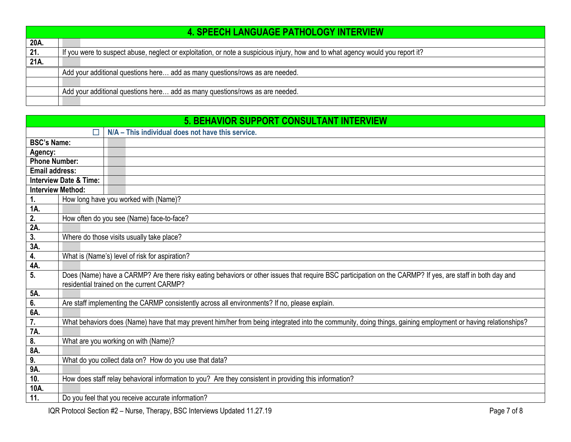|      | <b>4. SPEECH LANGUAGE PATHOLOGY INTERVIEW</b>                                                                                   |
|------|---------------------------------------------------------------------------------------------------------------------------------|
| 20A. |                                                                                                                                 |
| 21.  | If you were to suspect abuse, neglect or exploitation, or note a suspicious injury, how and to what agency would you report it? |
| 21A  |                                                                                                                                 |
|      | Add your additional questions here add as many questions/rows as are needed.                                                    |
|      |                                                                                                                                 |
|      | Add your additional questions here add as many questions/rows as are needed.                                                    |
|      |                                                                                                                                 |

<span id="page-6-0"></span>

| <b>5. BEHAVIOR SUPPORT CONSULTANT INTERVIEW</b> |                                   |                                                                                                                                                              |
|-------------------------------------------------|-----------------------------------|--------------------------------------------------------------------------------------------------------------------------------------------------------------|
|                                                 | □                                 | N/A - This individual does not have this service.                                                                                                            |
| <b>BSC's Name:</b>                              |                                   |                                                                                                                                                              |
| Agency:                                         |                                   |                                                                                                                                                              |
| <b>Phone Number:</b>                            |                                   |                                                                                                                                                              |
| <b>Email address:</b>                           |                                   |                                                                                                                                                              |
|                                                 | <b>Interview Date &amp; Time:</b> |                                                                                                                                                              |
|                                                 | <b>Interview Method:</b>          |                                                                                                                                                              |
| $\mathbf{1}$ .                                  |                                   | How long have you worked with (Name)?                                                                                                                        |
| 1A.                                             |                                   |                                                                                                                                                              |
| $\overline{2}$ .                                |                                   | How often do you see (Name) face-to-face?                                                                                                                    |
| 2A                                              |                                   |                                                                                                                                                              |
| 3.<br>3A.                                       |                                   | Where do those visits usually take place?                                                                                                                    |
| 4.                                              |                                   | What is (Name's) level of risk for aspiration?                                                                                                               |
| <b>4A</b>                                       |                                   |                                                                                                                                                              |
| $\overline{5}$ .                                |                                   | Does (Name) have a CARMP? Are there risky eating behaviors or other issues that require BSC participation on the CARMP? If yes, are staff in both day and    |
|                                                 |                                   | residential trained on the current CARMP?                                                                                                                    |
| 5A.                                             |                                   |                                                                                                                                                              |
| 6.                                              |                                   | Are staff implementing the CARMP consistently across all environments? If no, please explain.                                                                |
| 6A.                                             |                                   |                                                                                                                                                              |
| $\overline{7}$ .<br>7A.                         |                                   | What behaviors does (Name) have that may prevent him/her from being integrated into the community, doing things, gaining employment or having relationships? |
| $\overline{\boldsymbol{\delta}}$                |                                   | What are you working on with (Name)?                                                                                                                         |
| 8A.                                             |                                   |                                                                                                                                                              |
| 9.                                              |                                   | What do you collect data on? How do you use that data?                                                                                                       |
| 9A.                                             |                                   |                                                                                                                                                              |
| 10.                                             |                                   | How does staff relay behavioral information to you? Are they consistent in providing this information?                                                       |
| 10A.                                            |                                   |                                                                                                                                                              |
| 11.                                             |                                   | Do you feel that you receive accurate information?                                                                                                           |